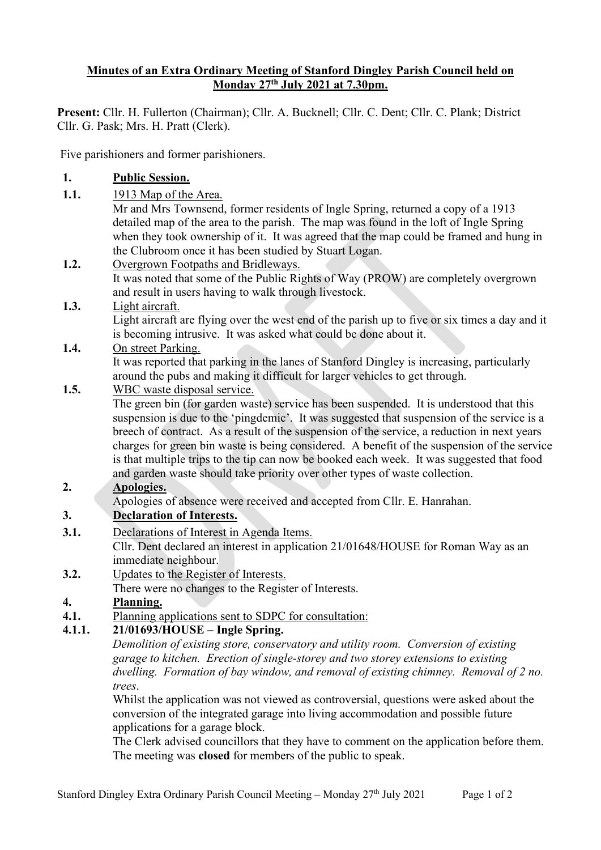### **Minutes of an Extra Ordinary Meeting of Stanford Dingley Parish Council held on Monday 27th July 2021 at 7.30pm.**

**Present:** Cllr. H. Fullerton (Chairman); Cllr. A. Bucknell; Cllr. C. Dent; Cllr. C. Plank; District Cllr. G. Pask; Mrs. H. Pratt (Clerk).

Five parishioners and former parishioners.

## **1. Public Session.**

**1.1.** 1913 Map of the Area.

Mr and Mrs Townsend, former residents of Ingle Spring, returned a copy of a 1913 detailed map of the area to the parish. The map was found in the loft of Ingle Spring when they took ownership of it. It was agreed that the map could be framed and hung in the Clubroom once it has been studied by Stuart Logan.

#### **1.2.** Overgrown Footpaths and Bridleways. It was noted that some of the Public Rights of Way (PROW) are completely overgrown and result in users having to walk through livestock.

**1.3.** Light aircraft. Light aircraft are flying over the west end of the parish up to five or six times a day and it is becoming intrusive. It was asked what could be done about it.

## **1.4.** On street Parking.

It was reported that parking in the lanes of Stanford Dingley is increasing, particularly around the pubs and making it difficult for larger vehicles to get through.

## **1.5.** WBC waste disposal service.

The green bin (for garden waste) service has been suspended. It is understood that this suspension is due to the 'pingdemic'. It was suggested that suspension of the service is a breech of contract. As a result of the suspension of the service, a reduction in next years charges for green bin waste is being considered. A benefit of the suspension of the service is that multiple trips to the tip can now be booked each week. It was suggested that food and garden waste should take priority over other types of waste collection.

### **2. Apologies.**

Apologies of absence were received and accepted from Cllr. E. Hanrahan.

## **3. Declaration of Interests.**

**3.1.** Declarations of Interest in Agenda Items.

Cllr. Dent declared an interest in application 21/01648/HOUSE for Roman Way as an immediate neighbour.

**3.2.** Updates to the Register of Interests.

There were no changes to the Register of Interests.

### **4. Planning.**

**4.1.** Planning applications sent to SDPC for consultation:

### **4.1.1. 21/01693/HOUSE – Ingle Spring.**

*Demolition of existing store, conservatory and utility room. Conversion of existing garage to kitchen. Erection of single-storey and two storey extensions to existing dwelling. Formation of bay window, and removal of existing chimney. Removal of 2 no. trees*.

Whilst the application was not viewed as controversial, questions were asked about the conversion of the integrated garage into living accommodation and possible future applications for a garage block.

The Clerk advised councillors that they have to comment on the application before them. The meeting was **closed** for members of the public to speak.